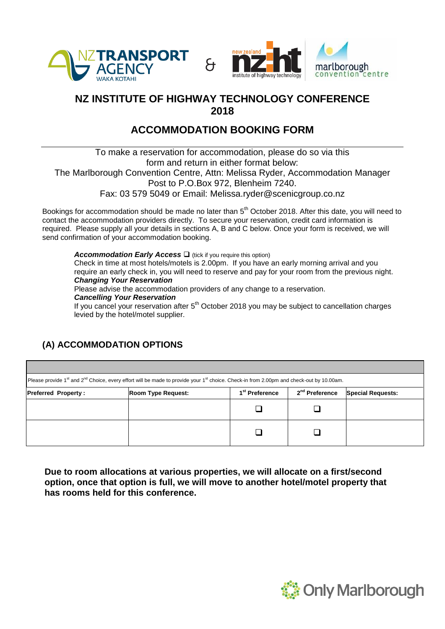



## **NZ INSTITUTE OF HIGHWAY TECHNOLOGY CONFERENCE 2018**

## **ACCOMMODATION BOOKING FORM**

To make a reservation for accommodation, please do so via this form and return in either format below: The Marlborough Convention Centre, Attn: Melissa Ryder, Accommodation Manager Post to P.O.Box 972, Blenheim 7240. Fax: 03 579 5049 or Email: Melissa.ryder@scenicgroup.co.nz

Bookings for accommodation should be made no later than 5<sup>th</sup> October 2018. After this date, you will need to contact the accommodation providers directly. To secure your reservation, credit card information is required. Please supply all your details in sections A, B and C below. Once your form is received, we will send confirmation of your accommodation booking.

Accommodation Early Access  $\square$  (tick if you require this option) Check in time at most hotels/motels is 2.00pm. If you have an early morning arrival and you require an early check in, you will need to reserve and pay for your room from the previous night. *Changing Your Reservation*

Please advise the accommodation providers of any change to a reservation.

#### *Cancelling Your Reservation*

If you cancel your reservation after  $5<sup>th</sup>$  October 2018 you may be subject to cancellation charges levied by the hotel/motel supplier.

# Please provide 1<sup>st</sup> and 2<sup>nd</sup> Choice, every effort will be made to provide your 1<sup>st</sup> choice. Check-in from 2.00pm and check-out by 10.00am. **Preferred Property: 121 Room Type Request:** 1<sup>st</sup> Preference 2<sup>nd</sup> Preference **Special Requests:**  $\begin{array}{ccccccccccccccccc} \Box & & & \vert & & \Box & & \Box \end{array}$  $\begin{array}{ccccccccccccccccc} \Box & & & \vert & & \Box & & \Box \end{array}$

**(A) ACCOMMODATION OPTIONS** 

**Due to room allocations at various properties, we will allocate on a first/second option, once that option is full, we will move to another hotel/motel property that has rooms held for this conference.** 

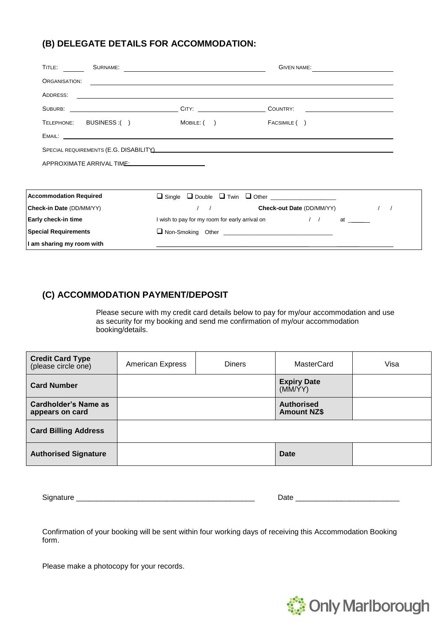## **(B) DELEGATE DETAILS FOR ACCOMMODATION:**

| TITLE:<br>SURNAME:            |                                                | GIVEN NAME:                                                                                                           |  |
|-------------------------------|------------------------------------------------|-----------------------------------------------------------------------------------------------------------------------|--|
| ORGANISATION:                 |                                                | <u> 1989 - Johann Stoff, deutscher Stoff, der Stoff, der Stoff, der Stoff, der Stoff, der Stoff, der Stoff, der S</u> |  |
| ADDRESS:                      |                                                | <u> 2000 - Andrea Andrea Andrea Andrea Andrea Andrea Andrea Andrea Andrea Andrea Andrea Andrea Andrea Andrea Andr</u> |  |
|                               |                                                |                                                                                                                       |  |
| TELEPHONE: BUSINESS:()        | MOBILE: ( )                                    | FACSIMILE ()                                                                                                          |  |
|                               |                                                |                                                                                                                       |  |
|                               |                                                |                                                                                                                       |  |
| APPROXIMATE ARRIVAL TIME:     |                                                |                                                                                                                       |  |
|                               |                                                |                                                                                                                       |  |
|                               |                                                |                                                                                                                       |  |
| <b>Accommodation Required</b> |                                                |                                                                                                                       |  |
| Check-in Date (DD/MM/YY)      |                                                | <b>Check-out Date (DD/MM/YY)</b>                                                                                      |  |
| Early check-in time           | I wish to pay for my room for early arrival on | $\frac{1}{2}$<br>at                                                                                                   |  |
| <b>Special Requirements</b>   |                                                |                                                                                                                       |  |
| I am sharing my room with     |                                                |                                                                                                                       |  |

## **(C) ACCOMMODATION PAYMENT/DEPOSIT**

Please secure with my credit card details below to pay for my/our accommodation and use as security for my booking and send me confirmation of my/our accommodation booking/details.

| <b>Credit Card Type</b><br>(please circle one) | <b>American Express</b> | <b>Diners</b> | MasterCard                              | Visa |
|------------------------------------------------|-------------------------|---------------|-----------------------------------------|------|
| <b>Card Number</b>                             |                         |               | <b>Expiry Date</b><br>(MM/YY)           |      |
| Cardholder's Name as<br>appears on card        |                         |               | <b>Authorised</b><br><b>Amount NZ\$</b> |      |
| <b>Card Billing Address</b>                    |                         |               |                                         |      |
| <b>Authorised Signature</b>                    |                         |               | <b>Date</b>                             |      |

Signature \_\_\_\_\_\_\_\_\_\_\_\_\_\_\_\_\_\_\_\_\_\_\_\_\_\_\_\_\_\_\_\_\_\_\_\_\_\_\_\_\_\_\_ Date \_\_\_\_\_\_\_\_\_\_\_\_\_\_\_\_\_\_\_\_\_\_\_\_\_

| Date |  |
|------|--|
|      |  |

Confirmation of your booking will be sent within four working days of receiving this Accommodation Booking form.

Please make a photocopy for your records.